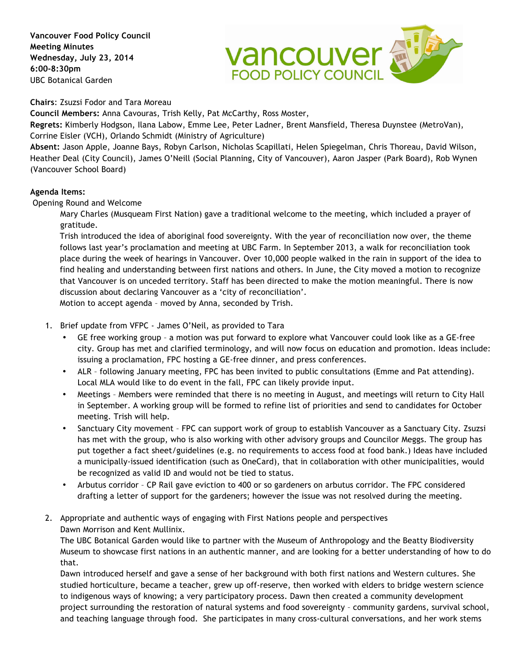**Vancouver Food Policy Council Meeting Minutes Wednesday, July 23, 2014 6:00-8:30pm** UBC Botanical Garden



**Chairs**: Zsuzsi Fodor and Tara Moreau

**Council Members:** Anna Cavouras, Trish Kelly, Pat McCarthy, Ross Moster,

**Regrets:** Kimberly Hodgson, Ilana Labow, Emme Lee, Peter Ladner, Brent Mansfield, Theresa Duynstee (MetroVan), Corrine Eisler (VCH), Orlando Schmidt (Ministry of Agriculture)

**Absent:** Jason Apple, Joanne Bays, Robyn Carlson, Nicholas Scapillati, Helen Spiegelman, Chris Thoreau, David Wilson, Heather Deal (City Council), James O'Neill (Social Planning, City of Vancouver), Aaron Jasper (Park Board), Rob Wynen (Vancouver School Board)

## **Agenda Items:**

Opening Round and Welcome

Mary Charles (Musqueam First Nation) gave a traditional welcome to the meeting, which included a prayer of gratitude.

Trish introduced the idea of aboriginal food sovereignty. With the year of reconciliation now over, the theme follows last year's proclamation and meeting at UBC Farm. In September 2013, a walk for reconciliation took place during the week of hearings in Vancouver. Over 10,000 people walked in the rain in support of the idea to find healing and understanding between first nations and others. In June, the City moved a motion to recognize that Vancouver is on unceded territory. Staff has been directed to make the motion meaningful. There is now discussion about declaring Vancouver as a 'city of reconciliation'.

Motion to accept agenda – moved by Anna, seconded by Trish.

- 1. Brief update from VFPC James O'Neil, as provided to Tara
	- GE free working group a motion was put forward to explore what Vancouver could look like as a GE-free city. Group has met and clarified terminology, and will now focus on education and promotion. Ideas include: issuing a proclamation, FPC hosting a GE-free dinner, and press conferences.
	- ALR following January meeting, FPC has been invited to public consultations (Emme and Pat attending). Local MLA would like to do event in the fall, FPC can likely provide input.
	- Meetings Members were reminded that there is no meeting in August, and meetings will return to City Hall in September. A working group will be formed to refine list of priorities and send to candidates for October meeting. Trish will help.
	- Sanctuary City movement FPC can support work of group to establish Vancouver as a Sanctuary City. Zsuzsi has met with the group, who is also working with other advisory groups and Councilor Meggs. The group has put together a fact sheet/guidelines (e.g. no requirements to access food at food bank.) Ideas have included a municipally-issued identification (such as OneCard), that in collaboration with other municipalities, would be recognized as valid ID and would not be tied to status.
	- Arbutus corridor CP Rail gave eviction to 400 or so gardeners on arbutus corridor. The FPC considered drafting a letter of support for the gardeners; however the issue was not resolved during the meeting.
- 2. Appropriate and authentic ways of engaging with First Nations people and perspectives Dawn Morrison and Kent Mullinix.

The UBC Botanical Garden would like to partner with the Museum of Anthropology and the Beatty Biodiversity Museum to showcase first nations in an authentic manner, and are looking for a better understanding of how to do that.

Dawn introduced herself and gave a sense of her background with both first nations and Western cultures. She studied horticulture, became a teacher, grew up off-reserve, then worked with elders to bridge western science to indigenous ways of knowing; a very participatory process. Dawn then created a community development project surrounding the restoration of natural systems and food sovereignty – community gardens, survival school, and teaching language through food. She participates in many cross-cultural conversations, and her work stems